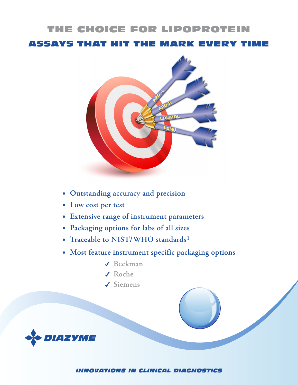## THE CHOICE FOR LIPOPROTEIN

ASSAYS THAT HIT THE MARK EVERY TIME



- **• Outstanding accuracy and precision**
- **• Low cost per test**
- **• Extensive range of instrument parameters**
- **• Packaging options for labs of all sizes**
- **• Traceable to NIST/WHO standards1**
- **• Most feature instrument specific packaging options**
	- 4 **Beckman**
	- ◆ Roche
	- 4 **Siemens**



*INNOVATIONS IN CLINICAL DIAGNOSTICS*